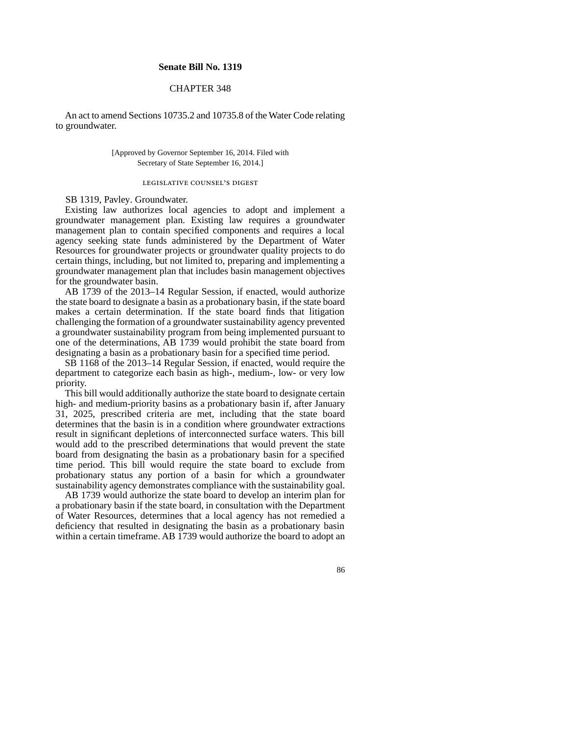### **Senate Bill No. 1319**

# CHAPTER 348

An act to amend Sections 10735.2 and 10735.8 of the Water Code relating to groundwater.

### [Approved by Governor September 16, 2014. Filed with Secretary of State September 16, 2014.]

# legislative counsel' s digest

## SB 1319, Pavley. Groundwater.

Existing law authorizes local agencies to adopt and implement a groundwater management plan. Existing law requires a groundwater management plan to contain specified components and requires a local agency seeking state funds administered by the Department of Water Resources for groundwater projects or groundwater quality projects to do certain things, including, but not limited to, preparing and implementing a groundwater management plan that includes basin management objectives for the groundwater basin.

AB 1739 of the 2013–14 Regular Session, if enacted, would authorize the state board to designate a basin as a probationary basin, if the state board makes a certain determination. If the state board finds that litigation challenging the formation of a groundwater sustainability agency prevented a groundwater sustainability program from being implemented pursuant to one of the determinations, AB 1739 would prohibit the state board from designating a basin as a probationary basin for a specified time period.

SB 1168 of the 2013–14 Regular Session, if enacted, would require the department to categorize each basin as high-, medium-, low- or very low priority.

This bill would additionally authorize the state board to designate certain high- and medium-priority basins as a probationary basin if, after January 31, 2025, prescribed criteria are met, including that the state board determines that the basin is in a condition where groundwater extractions result in significant depletions of interconnected surface waters. This bill would add to the prescribed determinations that would prevent the state board from designating the basin as a probationary basin for a specified time period. This bill would require the state board to exclude from probationary status any portion of a basin for which a groundwater sustainability agency demonstrates compliance with the sustainability goal.

AB 1739 would authorize the state board to develop an interim plan for a probationary basin if the state board, in consultation with the Department of Water Resources, determines that a local agency has not remedied a deficiency that resulted in designating the basin as a probationary basin within a certain timeframe. AB 1739 would authorize the board to adopt an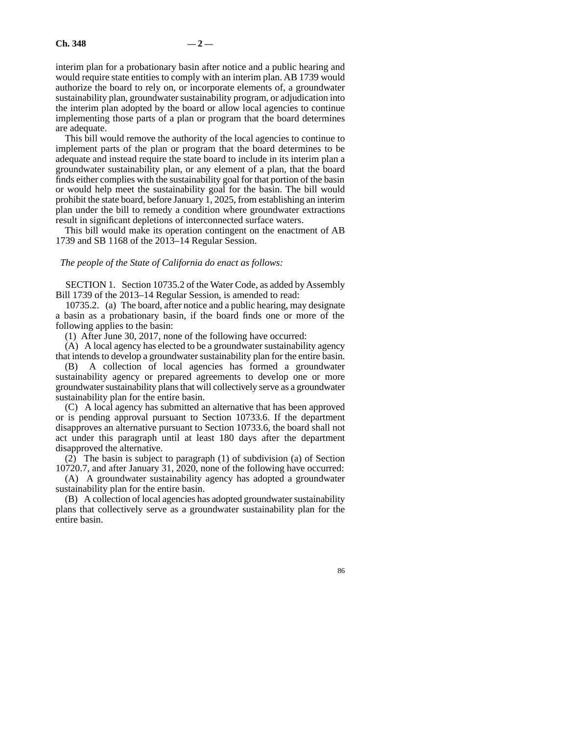interim plan for a probationary basin after notice and a public hearing and would require state entities to comply with an interim plan. AB 1739 would authorize the board to rely on, or incorporate elements of, a groundwater sustainability plan, groundwater sustainability program, or adjudication into the interim plan adopted by the board or allow local agencies to continue implementing those parts of a plan or program that the board determines are adequate.

This bill would remove the authority of the local agencies to continue to implement parts of the plan or program that the board determines to be adequate and instead require the state board to include in its interim plan a groundwater sustainability plan, or any element of a plan, that the board finds either complies with the sustainability goal for that portion of the basin or would help meet the sustainability goal for the basin. The bill would prohibit the state board, before January 1, 2025, from establishing an interim plan under the bill to remedy a condition where groundwater extractions result in significant depletions of interconnected surface waters.

This bill would make its operation contingent on the enactment of AB 1739 and SB 1168 of the 2013–14 Regular Session.

#### *The people of the State of California do enact as follows:*

SECTION 1. Section 10735.2 of the Water Code, as added by Assembly Bill 1739 of the 2013–14 Regular Session, is amended to read:

10735.2. (a) The board, after notice and a public hearing, may designate a basin as a probationary basin, if the board finds one or more of the following applies to the basin:

(1) After June 30, 2017, none of the following have occurred:

(A) A local agency has elected to be a groundwater sustainability agency that intends to develop a groundwater sustainability plan for the entire basin.

(B) A collection of local agencies has formed a groundwater sustainability agency or prepared agreements to develop one or more groundwater sustainability plans that will collectively serve as a groundwater sustainability plan for the entire basin.

(C) A local agency has submitted an alternative that has been approved or is pending approval pursuant to Section 10733.6. If the department disapproves an alternative pursuant to Section 10733.6, the board shall not act under this paragraph until at least 180 days after the department disapproved the alternative.

 $(2)$  The basin is subject to paragraph  $(1)$  of subdivision  $(a)$  of Section 10720.7, and after January 31, 2020, none of the following have occurred:

(A) A groundwater sustainability agency has adopted a groundwater sustainability plan for the entire basin.

(B) A collection of local agencies has adopted groundwater sustainability plans that collectively serve as a groundwater sustainability plan for the entire basin.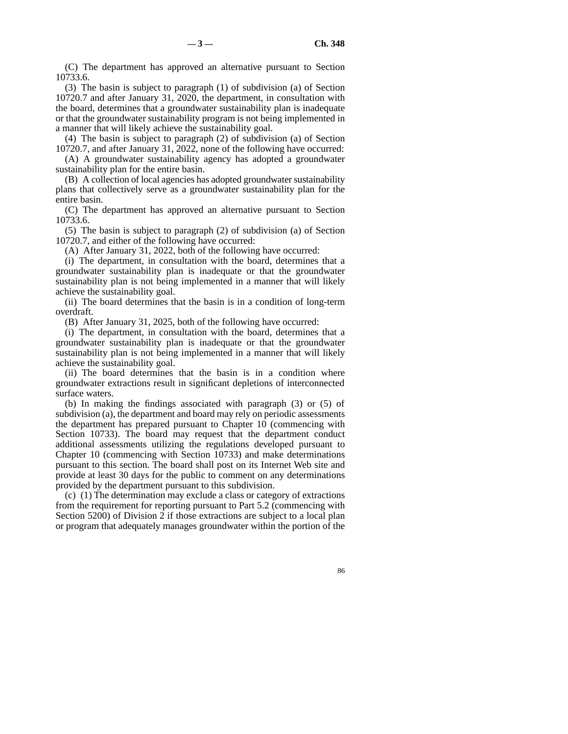(C) The department has approved an alternative pursuant to Section 10733.6.

(3) The basin is subject to paragraph (1) of subdivision (a) of Section 10720.7 and after January 31, 2020, the department, in consultation with the board, determines that a groundwater sustainability plan is inadequate or that the groundwater sustainability program is not being implemented in a manner that will likely achieve the sustainability goal.

(4) The basin is subject to paragraph (2) of subdivision (a) of Section 10720.7, and after January 31, 2022, none of the following have occurred:

(A) A groundwater sustainability agency has adopted a groundwater sustainability plan for the entire basin.

(B) A collection of local agencies has adopted groundwater sustainability plans that collectively serve as a groundwater sustainability plan for the entire basin.

(C) The department has approved an alternative pursuant to Section 10733.6.

(5) The basin is subject to paragraph (2) of subdivision (a) of Section 10720.7, and either of the following have occurred:

(A) After January 31, 2022, both of the following have occurred:

(i) The department, in consultation with the board, determines that a groundwater sustainability plan is inadequate or that the groundwater sustainability plan is not being implemented in a manner that will likely achieve the sustainability goal.

(ii) The board determines that the basin is in a condition of long-term overdraft.

(B) After January 31, 2025, both of the following have occurred:

(i) The department, in consultation with the board, determines that a groundwater sustainability plan is inadequate or that the groundwater sustainability plan is not being implemented in a manner that will likely achieve the sustainability goal.

(ii) The board determines that the basin is in a condition where groundwater extractions result in significant depletions of interconnected surface waters.

(b) In making the findings associated with paragraph (3) or (5) of subdivision (a), the department and board may rely on periodic assessments the department has prepared pursuant to Chapter 10 (commencing with Section 10733). The board may request that the department conduct additional assessments utilizing the regulations developed pursuant to Chapter 10 (commencing with Section 10733) and make determinations pursuant to this section. The board shall post on its Internet Web site and provide at least 30 days for the public to comment on any determinations provided by the department pursuant to this subdivision.

(c) (1) The determination may exclude a class or category of extractions from the requirement for reporting pursuant to Part 5.2 (commencing with Section 5200) of Division 2 if those extractions are subject to a local plan or program that adequately manages groundwater within the portion of the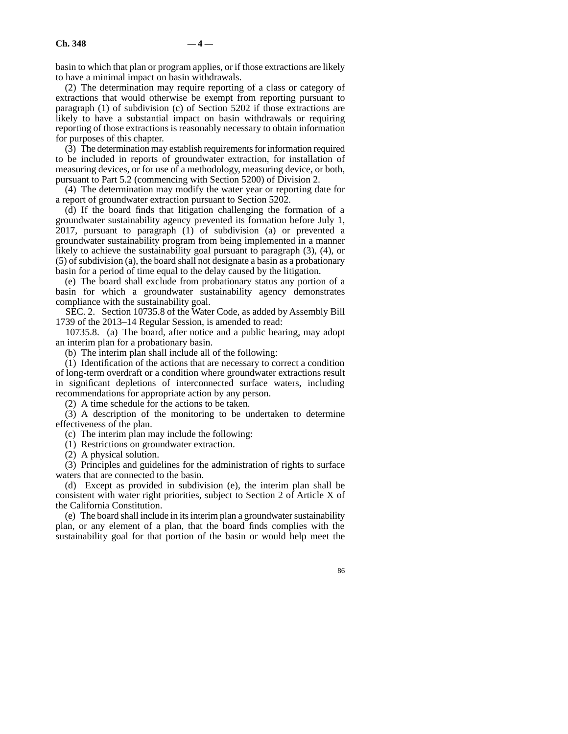basin to which that plan or program applies, or if those extractions are likely to have a minimal impact on basin withdrawals.

(2) The determination may require reporting of a class or category of extractions that would otherwise be exempt from reporting pursuant to paragraph (1) of subdivision (c) of Section 5202 if those extractions are likely to have a substantial impact on basin withdrawals or requiring reporting of those extractions is reasonably necessary to obtain information for purposes of this chapter.

(3) The determination may establish requirements for information required to be included in reports of groundwater extraction, for installation of measuring devices, or for use of a methodology, measuring device, or both, pursuant to Part 5.2 (commencing with Section 5200) of Division 2.

(4) The determination may modify the water year or reporting date for a report of groundwater extraction pursuant to Section 5202.

(d) If the board finds that litigation challenging the formation of a groundwater sustainability agency prevented its formation before July 1, 2017, pursuant to paragraph (1) of subdivision (a) or prevented a groundwater sustainability program from being implemented in a manner likely to achieve the sustainability goal pursuant to paragraph (3), (4), or (5) of subdivision (a), the board shall not designate a basin as a probationary basin for a period of time equal to the delay caused by the litigation.

(e) The board shall exclude from probationary status any portion of a basin for which a groundwater sustainability agency demonstrates compliance with the sustainability goal.

SEC. 2. Section 10735.8 of the Water Code, as added by Assembly Bill 1739 of the 2013–14 Regular Session, is amended to read:

10735.8. (a) The board, after notice and a public hearing, may adopt an interim plan for a probationary basin.

(b) The interim plan shall include all of the following:

(1) Identification of the actions that are necessary to correct a condition of long-term overdraft or a condition where groundwater extractions result in significant depletions of interconnected surface waters, including recommendations for appropriate action by any person.

(2) A time schedule for the actions to be taken.

(3) A description of the monitoring to be undertaken to determine effectiveness of the plan.

(c) The interim plan may include the following:

(1) Restrictions on groundwater extraction.

(2) A physical solution.

(3) Principles and guidelines for the administration of rights to surface waters that are connected to the basin.

(d) Except as provided in subdivision (e), the interim plan shall be consistent with water right priorities, subject to Section 2 of Article X of the California Constitution.

(e) The board shall include in its interim plan a groundwater sustainability plan, or any element of a plan, that the board finds complies with the sustainability goal for that portion of the basin or would help meet the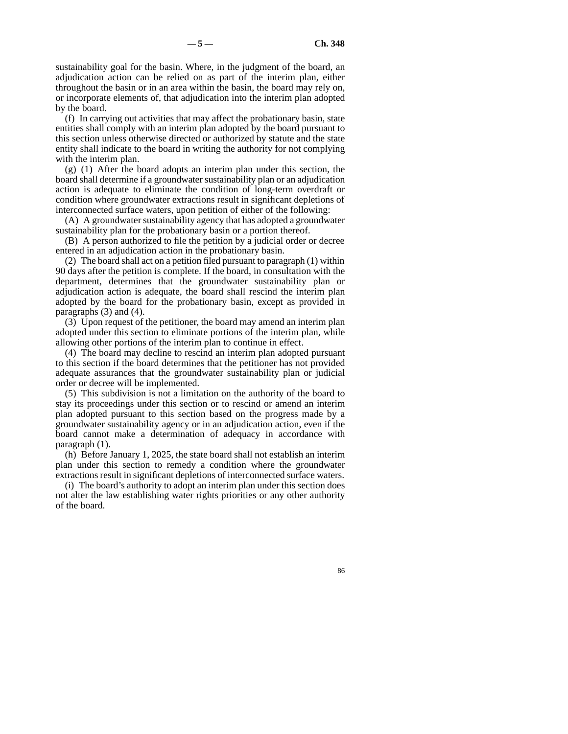sustainability goal for the basin. Where, in the judgment of the board, an adjudication action can be relied on as part of the interim plan, either throughout the basin or in an area within the basin, the board may rely on, or incorporate elements of, that adjudication into the interim plan adopted by the board.

(f) In carrying out activities that may affect the probationary basin, state entities shall comply with an interim plan adopted by the board pursuant to this section unless otherwise directed or authorized by statute and the state entity shall indicate to the board in writing the authority for not complying with the interim plan.

(g) (1) After the board adopts an interim plan under this section, the board shall determine if a groundwater sustainability plan or an adjudication action is adequate to eliminate the condition of long-term overdraft or condition where groundwater extractions result in significant depletions of interconnected surface waters, upon petition of either of the following:

(A) A groundwater sustainability agency that has adopted a groundwater sustainability plan for the probationary basin or a portion thereof.

(B) A person authorized to file the petition by a judicial order or decree entered in an adjudication action in the probationary basin.

(2) The board shall act on a petition filed pursuant to paragraph (1) within 90 days after the petition is complete. If the board, in consultation with the department, determines that the groundwater sustainability plan or adjudication action is adequate, the board shall rescind the interim plan adopted by the board for the probationary basin, except as provided in paragraphs (3) and (4).

(3) Upon request of the petitioner, the board may amend an interim plan adopted under this section to eliminate portions of the interim plan, while allowing other portions of the interim plan to continue in effect.

(4) The board may decline to rescind an interim plan adopted pursuant to this section if the board determines that the petitioner has not provided adequate assurances that the groundwater sustainability plan or judicial order or decree will be implemented.

(5) This subdivision is not a limitation on the authority of the board to stay its proceedings under this section or to rescind or amend an interim plan adopted pursuant to this section based on the progress made by a groundwater sustainability agency or in an adjudication action, even if the board cannot make a determination of adequacy in accordance with paragraph (1).

(h) Before January 1, 2025, the state board shall not establish an interim plan under this section to remedy a condition where the groundwater extractions result in significant depletions of interconnected surface waters.

(i) The board's authority to adopt an interim plan under this section does not alter the law establishing water rights priorities or any other authority of the board.